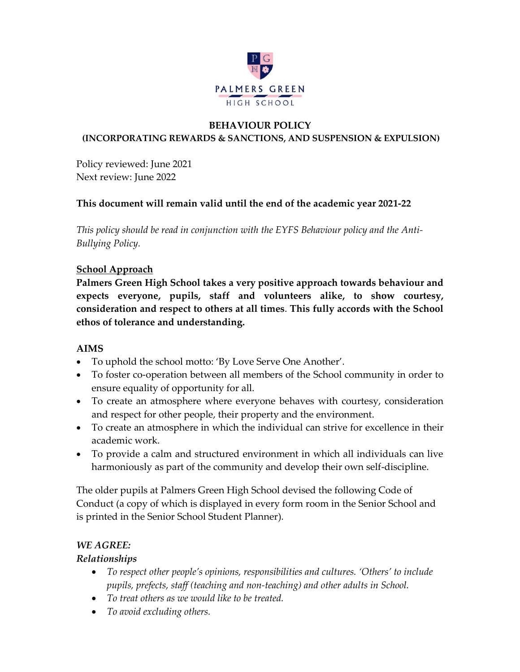

#### **BEHAVIOUR POLICY (INCORPORATING REWARDS & SANCTIONS, AND SUSPENSION & EXPULSION)**

Policy reviewed: June 2021 Next review: June 2022

# **This document will remain valid until the end of the academic year 2021-22**

*This policy should be read in conjunction with the EYFS Behaviour policy and the Anti-Bullying Policy.*

# **School Approach**

**Palmers Green High School takes a very positive approach towards behaviour and expects everyone, pupils, staff and volunteers alike, to show courtesy, consideration and respect to others at all times**. **This fully accords with the School ethos of tolerance and understanding.**

## **AIMS**

- To uphold the school motto: 'By Love Serve One Another'.
- To foster co-operation between all members of the School community in order to ensure equality of opportunity for all.
- To create an atmosphere where everyone behaves with courtesy, consideration and respect for other people, their property and the environment.
- To create an atmosphere in which the individual can strive for excellence in their academic work.
- To provide a calm and structured environment in which all individuals can live harmoniously as part of the community and develop their own self-discipline.

The older pupils at Palmers Green High School devised the following Code of Conduct (a copy of which is displayed in every form room in the Senior School and is printed in the Senior School Student Planner).

# *WE AGREE:*

## *Relationships*

- *To respect other people's opinions, responsibilities and cultures. 'Others' to include pupils, prefects, staff (teaching and non-teaching) and other adults in School.*
- *To treat others as we would like to be treated.*
- *To avoid excluding others.*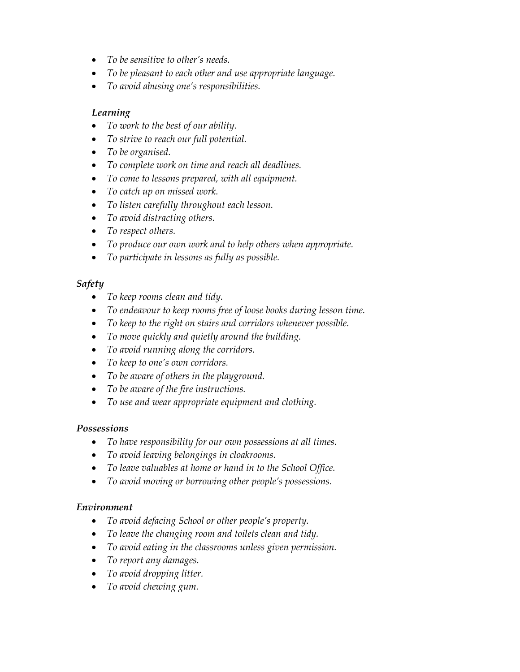- *To be sensitive to other's needs.*
- *To be pleasant to each other and use appropriate language.*
- *To avoid abusing one's responsibilities.*

#### *Learning*

- *To work to the best of our ability.*
- *To strive to reach our full potential.*
- *To be organised.*
- *To complete work on time and reach all deadlines.*
- *To come to lessons prepared, with all equipment.*
- *To catch up on missed work.*
- *To listen carefully throughout each lesson.*
- *To avoid distracting others.*
- *To respect others.*
- *To produce our own work and to help others when appropriate.*
- *To participate in lessons as fully as possible.*

#### *Safety*

- *To keep rooms clean and tidy.*
- *To endeavour to keep rooms free of loose books during lesson time.*
- *To keep to the right on stairs and corridors whenever possible.*
- *To move quickly and quietly around the building.*
- *To avoid running along the corridors.*
- *To keep to one's own corridors.*
- *To be aware of others in the playground.*
- *To be aware of the fire instructions.*
- *To use and wear appropriate equipment and clothing.*

#### *Possessions*

- *To have responsibility for our own possessions at all times.*
- *To avoid leaving belongings in cloakrooms.*
- *To leave valuables at home or hand in to the School Office.*
- *To avoid moving or borrowing other people's possessions.*

#### *Environment*

- *To avoid defacing School or other people's property.*
- *To leave the changing room and toilets clean and tidy.*
- *To avoid eating in the classrooms unless given permission.*
- *To report any damages.*
- *To avoid dropping litter.*
- *To avoid chewing gum.*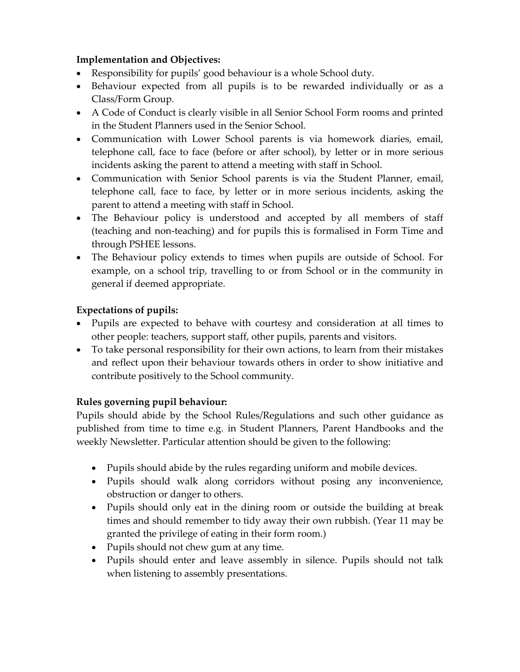#### **Implementation and Objectives:**

- Responsibility for pupils' good behaviour is a whole School duty.
- Behaviour expected from all pupils is to be rewarded individually or as a Class/Form Group.
- A Code of Conduct is clearly visible in all Senior School Form rooms and printed in the Student Planners used in the Senior School.
- Communication with Lower School parents is via homework diaries, email, telephone call, face to face (before or after school), by letter or in more serious incidents asking the parent to attend a meeting with staff in School.
- Communication with Senior School parents is via the Student Planner, email, telephone call, face to face, by letter or in more serious incidents, asking the parent to attend a meeting with staff in School.
- The Behaviour policy is understood and accepted by all members of staff (teaching and non-teaching) and for pupils this is formalised in Form Time and through PSHEE lessons.
- The Behaviour policy extends to times when pupils are outside of School. For example, on a school trip, travelling to or from School or in the community in general if deemed appropriate.

## **Expectations of pupils:**

- Pupils are expected to behave with courtesy and consideration at all times to other people: teachers, support staff, other pupils, parents and visitors.
- To take personal responsibility for their own actions, to learn from their mistakes and reflect upon their behaviour towards others in order to show initiative and contribute positively to the School community.

#### **Rules governing pupil behaviour:**

Pupils should abide by the School Rules/Regulations and such other guidance as published from time to time e.g. in Student Planners, Parent Handbooks and the weekly Newsletter. Particular attention should be given to the following:

- Pupils should abide by the rules regarding uniform and mobile devices.
- Pupils should walk along corridors without posing any inconvenience, obstruction or danger to others.
- Pupils should only eat in the dining room or outside the building at break times and should remember to tidy away their own rubbish. (Year 11 may be granted the privilege of eating in their form room.)
- Pupils should not chew gum at any time.
- Pupils should enter and leave assembly in silence. Pupils should not talk when listening to assembly presentations.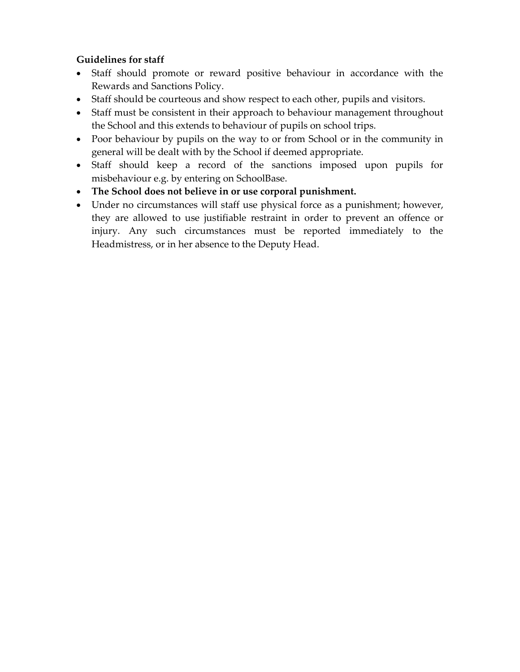#### **Guidelines for staff**

- Staff should promote or reward positive behaviour in accordance with the Rewards and Sanctions Policy.
- Staff should be courteous and show respect to each other, pupils and visitors.
- Staff must be consistent in their approach to behaviour management throughout the School and this extends to behaviour of pupils on school trips.
- Poor behaviour by pupils on the way to or from School or in the community in general will be dealt with by the School if deemed appropriate.
- Staff should keep a record of the sanctions imposed upon pupils for misbehaviour e.g. by entering on SchoolBase.
- **The School does not believe in or use corporal punishment.**
- Under no circumstances will staff use physical force as a punishment; however, they are allowed to use justifiable restraint in order to prevent an offence or injury. Any such circumstances must be reported immediately to the Headmistress, or in her absence to the Deputy Head.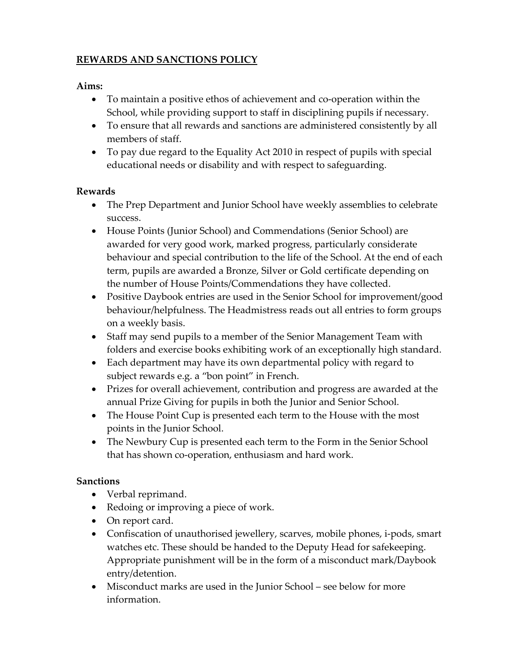# **REWARDS AND SANCTIONS POLICY**

#### **Aims:**

- To maintain a positive ethos of achievement and co-operation within the School, while providing support to staff in disciplining pupils if necessary.
- To ensure that all rewards and sanctions are administered consistently by all members of staff.
- To pay due regard to the Equality Act 2010 in respect of pupils with special educational needs or disability and with respect to safeguarding.

## **Rewards**

- The Prep Department and Junior School have weekly assemblies to celebrate success.
- House Points (Junior School) and Commendations (Senior School) are awarded for very good work, marked progress, particularly considerate behaviour and special contribution to the life of the School. At the end of each term, pupils are awarded a Bronze, Silver or Gold certificate depending on the number of House Points/Commendations they have collected.
- Positive Daybook entries are used in the Senior School for improvement/good behaviour/helpfulness. The Headmistress reads out all entries to form groups on a weekly basis.
- Staff may send pupils to a member of the Senior Management Team with folders and exercise books exhibiting work of an exceptionally high standard.
- Each department may have its own departmental policy with regard to subject rewards e.g. a "bon point" in French.
- Prizes for overall achievement, contribution and progress are awarded at the annual Prize Giving for pupils in both the Junior and Senior School.
- The House Point Cup is presented each term to the House with the most points in the Junior School.
- The Newbury Cup is presented each term to the Form in the Senior School that has shown co-operation, enthusiasm and hard work.

## **Sanctions**

- Verbal reprimand.
- Redoing or improving a piece of work.
- On report card.
- Confiscation of unauthorised jewellery, scarves, mobile phones, i-pods, smart watches etc. These should be handed to the Deputy Head for safekeeping. Appropriate punishment will be in the form of a misconduct mark/Daybook entry/detention.
- Misconduct marks are used in the Junior School see below for more information.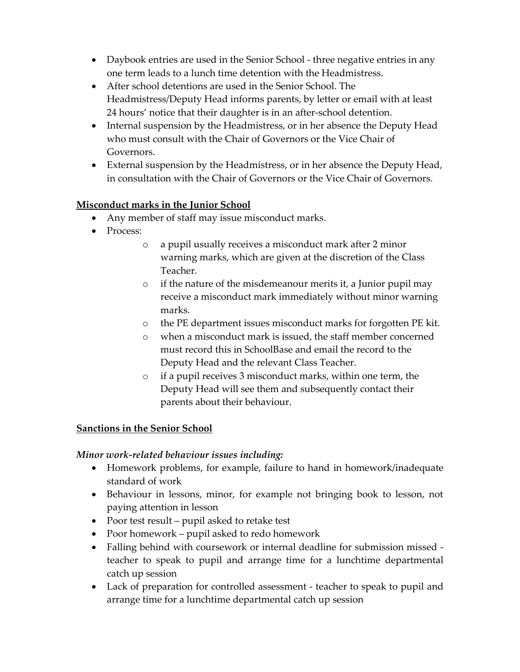- Daybook entries are used in the Senior School three negative entries in any one term leads to a lunch time detention with the Headmistress.
- After school detentions are used in the Senior School. The Headmistress/Deputy Head informs parents, by letter or email with at least 24 hours' notice that their daughter is in an after-school detention.
- Internal suspension by the Headmistress, or in her absence the Deputy Head who must consult with the Chair of Governors or the Vice Chair of Governors.
- External suspension by the Headmistress, or in her absence the Deputy Head, in consultation with the Chair of Governors or the Vice Chair of Governors.

## **Misconduct marks in the Junior School**

- Any member of staff may issue misconduct marks.
- Process:
	- o a pupil usually receives a misconduct mark after 2 minor warning marks, which are given at the discretion of the Class Teacher.
	- o if the nature of the misdemeanour merits it, a Junior pupil may receive a misconduct mark immediately without minor warning marks.
	- o the PE department issues misconduct marks for forgotten PE kit.
	- o when a misconduct mark is issued, the staff member concerned must record this in SchoolBase and email the record to the Deputy Head and the relevant Class Teacher.
	- o if a pupil receives 3 misconduct marks, within one term, the Deputy Head will see them and subsequently contact their parents about their behaviour.

## **Sanctions in the Senior School**

## *Minor work-related behaviour issues including:*

- Homework problems, for example, failure to hand in homework/inadequate standard of work
- Behaviour in lessons, minor, for example not bringing book to lesson, not paying attention in lesson
- Poor test result pupil asked to retake test
- Poor homework pupil asked to redo homework
- Falling behind with coursework or internal deadline for submission missed teacher to speak to pupil and arrange time for a lunchtime departmental catch up session
- Lack of preparation for controlled assessment teacher to speak to pupil and arrange time for a lunchtime departmental catch up session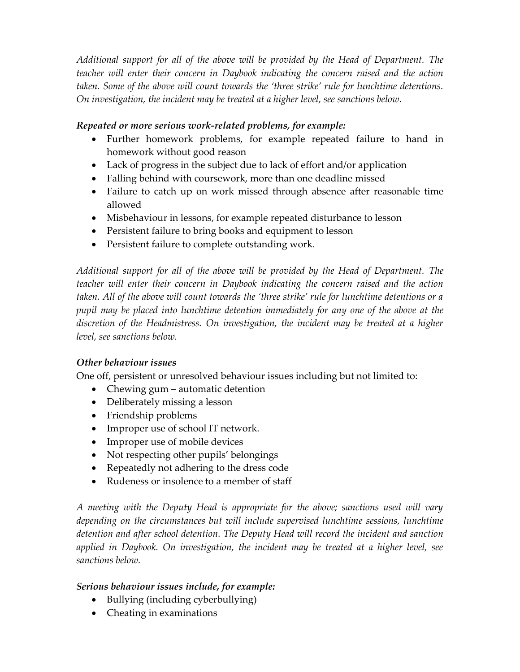*Additional support for all of the above will be provided by the Head of Department. The teacher will enter their concern in Daybook indicating the concern raised and the action taken. Some of the above will count towards the 'three strike' rule for lunchtime detentions. On investigation, the incident may be treated at a higher level, see sanctions below.* 

#### *Repeated or more serious work-related problems, for example:*

- Further homework problems, for example repeated failure to hand in homework without good reason
- Lack of progress in the subject due to lack of effort and/or application
- Falling behind with coursework, more than one deadline missed
- Failure to catch up on work missed through absence after reasonable time allowed
- Misbehaviour in lessons, for example repeated disturbance to lesson
- Persistent failure to bring books and equipment to lesson
- Persistent failure to complete outstanding work.

*Additional support for all of the above will be provided by the Head of Department. The teacher will enter their concern in Daybook indicating the concern raised and the action taken. All of the above will count towards the 'three strike' rule for lunchtime detentions or a pupil may be placed into lunchtime detention immediately for any one of the above at the discretion of the Headmistress. On investigation, the incident may be treated at a higher level, see sanctions below.*

## *Other behaviour issues*

One off, persistent or unresolved behaviour issues including but not limited to:

- Chewing gum automatic detention
- Deliberately missing a lesson
- Friendship problems
- Improper use of school IT network.
- Improper use of mobile devices
- Not respecting other pupils' belongings
- Repeatedly not adhering to the dress code
- Rudeness or insolence to a member of staff

*A meeting with the Deputy Head is appropriate for the above; sanctions used will vary depending on the circumstances but will include supervised lunchtime sessions, lunchtime detention and after school detention. The Deputy Head will record the incident and sanction applied in Daybook. On investigation, the incident may be treated at a higher level, see sanctions below.*

#### *Serious behaviour issues include, for example:*

- Bullying (including cyberbullying)
- Cheating in examinations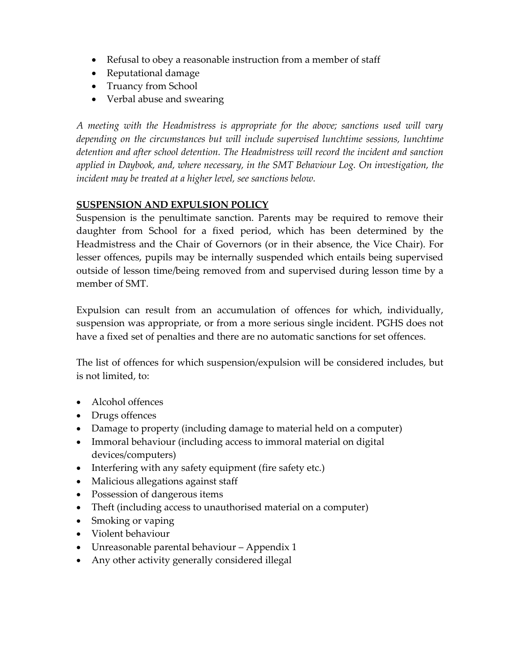- Refusal to obey a reasonable instruction from a member of staff
- Reputational damage
- Truancy from School
- Verbal abuse and swearing

*A meeting with the Headmistress is appropriate for the above; sanctions used will vary depending on the circumstances but will include supervised lunchtime sessions, lunchtime detention and after school detention. The Headmistress will record the incident and sanction applied in Daybook, and, where necessary, in the SMT Behaviour Log. On investigation, the incident may be treated at a higher level, see sanctions below.*

#### **SUSPENSION AND EXPULSION POLICY**

Suspension is the penultimate sanction. Parents may be required to remove their daughter from School for a fixed period, which has been determined by the Headmistress and the Chair of Governors (or in their absence, the Vice Chair). For lesser offences, pupils may be internally suspended which entails being supervised outside of lesson time/being removed from and supervised during lesson time by a member of SMT.

Expulsion can result from an accumulation of offences for which, individually, suspension was appropriate, or from a more serious single incident. PGHS does not have a fixed set of penalties and there are no automatic sanctions for set offences.

The list of offences for which suspension/expulsion will be considered includes, but is not limited, to:

- Alcohol offences
- Drugs offences
- Damage to property (including damage to material held on a computer)
- Immoral behaviour (including access to immoral material on digital devices/computers)
- Interfering with any safety equipment (fire safety etc.)
- Malicious allegations against staff
- Possession of dangerous items
- Theft (including access to unauthorised material on a computer)
- Smoking or vaping
- Violent behaviour
- Unreasonable parental behaviour Appendix 1
- Any other activity generally considered illegal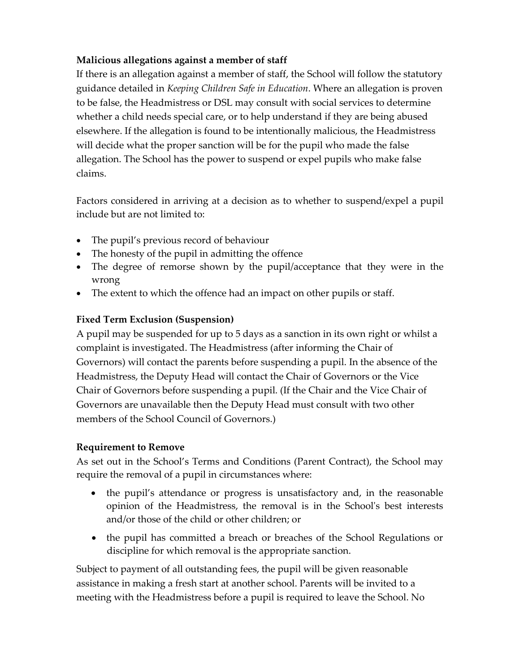## **Malicious allegations against a member of staff**

If there is an allegation against a member of staff, the School will follow the statutory guidance detailed in *Keeping Children Safe in Education*. Where an allegation is proven to be false, the Headmistress or DSL may consult with social services to determine whether a child needs special care, or to help understand if they are being abused elsewhere. If the allegation is found to be intentionally malicious, the Headmistress will decide what the proper sanction will be for the pupil who made the false allegation. The School has the power to suspend or expel pupils who make false claims.

Factors considered in arriving at a decision as to whether to suspend/expel a pupil include but are not limited to:

- The pupil's previous record of behaviour
- The honesty of the pupil in admitting the offence
- The degree of remorse shown by the pupil/acceptance that they were in the wrong
- The extent to which the offence had an impact on other pupils or staff.

# **Fixed Term Exclusion (Suspension)**

A pupil may be suspended for up to 5 days as a sanction in its own right or whilst a complaint is investigated. The Headmistress (after informing the Chair of Governors) will contact the parents before suspending a pupil. In the absence of the Headmistress, the Deputy Head will contact the Chair of Governors or the Vice Chair of Governors before suspending a pupil. (If the Chair and the Vice Chair of Governors are unavailable then the Deputy Head must consult with two other members of the School Council of Governors.)

# **Requirement to Remove**

As set out in the School's Terms and Conditions (Parent Contract), the School may require the removal of a pupil in circumstances where:

- the pupil's attendance or progress is unsatisfactory and, in the reasonable opinion of the Headmistress, the removal is in the School's best interests and/or those of the child or other children; or
- the pupil has committed a breach or breaches of the School Regulations or discipline for which removal is the appropriate sanction.

Subject to payment of all outstanding fees, the pupil will be given reasonable assistance in making a fresh start at another school. Parents will be invited to a meeting with the Headmistress before a pupil is required to leave the School. No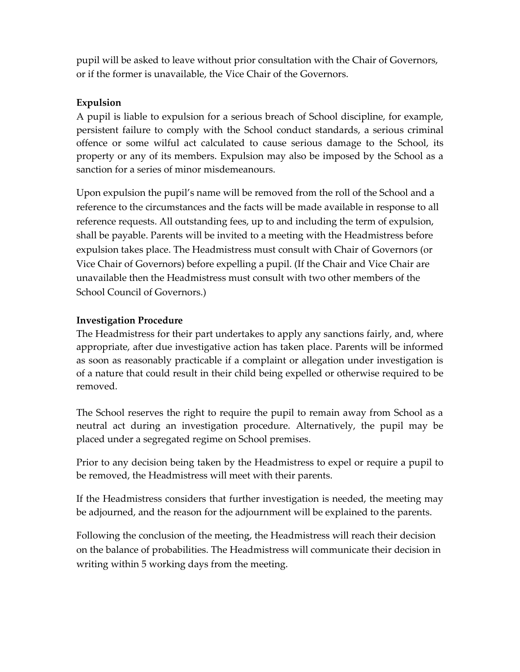pupil will be asked to leave without prior consultation with the Chair of Governors, or if the former is unavailable, the Vice Chair of the Governors.

## **Expulsion**

A pupil is liable to expulsion for a serious breach of School discipline, for example, persistent failure to comply with the School conduct standards, a serious criminal offence or some wilful act calculated to cause serious damage to the School, its property or any of its members. Expulsion may also be imposed by the School as a sanction for a series of minor misdemeanours.

Upon expulsion the pupil's name will be removed from the roll of the School and a reference to the circumstances and the facts will be made available in response to all reference requests. All outstanding fees, up to and including the term of expulsion, shall be payable. Parents will be invited to a meeting with the Headmistress before expulsion takes place. The Headmistress must consult with Chair of Governors (or Vice Chair of Governors) before expelling a pupil. (If the Chair and Vice Chair are unavailable then the Headmistress must consult with two other members of the School Council of Governors.)

## **Investigation Procedure**

The Headmistress for their part undertakes to apply any sanctions fairly, and, where appropriate, after due investigative action has taken place. Parents will be informed as soon as reasonably practicable if a complaint or allegation under investigation is of a nature that could result in their child being expelled or otherwise required to be removed.

The School reserves the right to require the pupil to remain away from School as a neutral act during an investigation procedure. Alternatively, the pupil may be placed under a segregated regime on School premises.

Prior to any decision being taken by the Headmistress to expel or require a pupil to be removed, the Headmistress will meet with their parents.

If the Headmistress considers that further investigation is needed, the meeting may be adjourned, and the reason for the adjournment will be explained to the parents.

Following the conclusion of the meeting, the Headmistress will reach their decision on the balance of probabilities. The Headmistress will communicate their decision in writing within 5 working days from the meeting.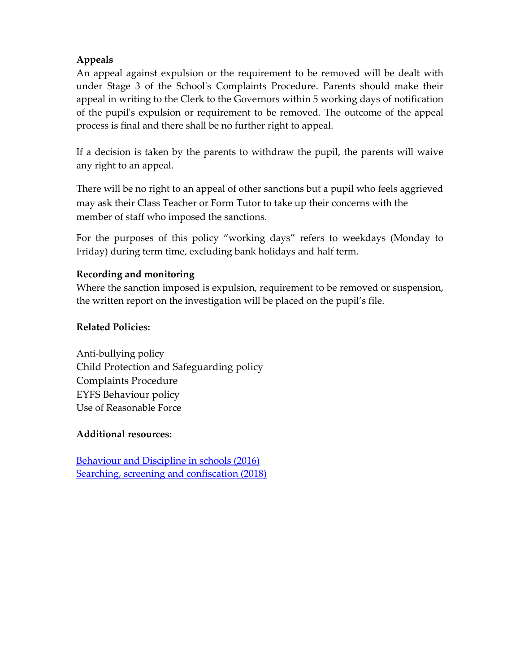# **Appeals**

An appeal against expulsion or the requirement to be removed will be dealt with under Stage 3 of the School's Complaints Procedure. Parents should make their appeal in writing to the Clerk to the Governors within 5 working days of notification of the pupil's expulsion or requirement to be removed. The outcome of the appeal process is final and there shall be no further right to appeal.

If a decision is taken by the parents to withdraw the pupil, the parents will waive any right to an appeal.

There will be no right to an appeal of other sanctions but a pupil who feels aggrieved may ask their Class Teacher or Form Tutor to take up their concerns with the member of staff who imposed the sanctions.

For the purposes of this policy "working days" refers to weekdays (Monday to Friday) during term time, excluding bank holidays and half term.

## **Recording and monitoring**

Where the sanction imposed is expulsion, requirement to be removed or suspension, the written report on the investigation will be placed on the pupil's file.

## **Related Policies:**

Anti-bullying policy Child Protection and Safeguarding policy Complaints Procedure EYFS Behaviour policy Use of Reasonable Force

## **Additional resources:**

[Behaviour and Discipline in schools \(2016\)](https://assets.publishing.service.gov.uk/government/uploads/system/uploads/attachment_data/file/488034/Behaviour_and_Discipline_in_Schools_-_A_guide_for_headteachers_and_School_Staff.pdf) [Searching, screening and confiscation \(2018\)](https://assets.publishing.service.gov.uk/government/uploads/system/uploads/attachment_data/file/674416/Searching_screening_and_confiscation.pdf)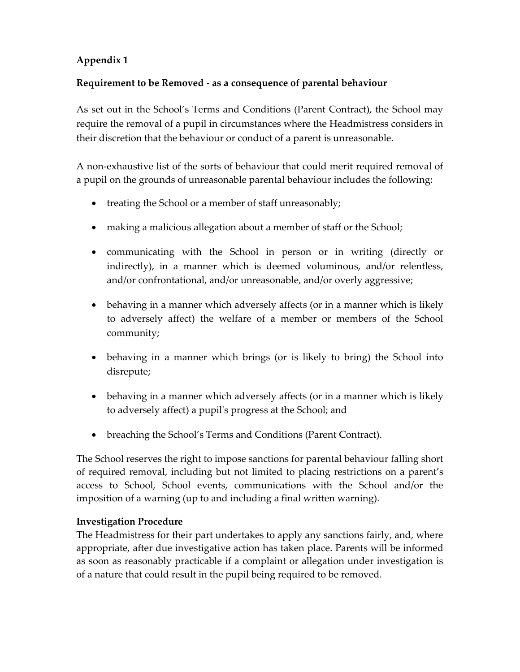# **Appendix 1**

## **Requirement to be Removed - as a consequence of parental behaviour**

As set out in the School's Terms and Conditions (Parent Contract), the School may require the removal of a pupil in circumstances where the Headmistress considers in their discretion that the behaviour or conduct of a parent is unreasonable.

A non-exhaustive list of the sorts of behaviour that could merit required removal of a pupil on the grounds of unreasonable parental behaviour includes the following:

- treating the School or a member of staff unreasonably;
- making a malicious allegation about a member of staff or the School;
- communicating with the School in person or in writing (directly or indirectly), in a manner which is deemed voluminous, and/or relentless, and/or confrontational, and/or unreasonable, and/or overly aggressive;
- behaving in a manner which adversely affects (or in a manner which is likely to adversely affect) the welfare of a member or members of the School community;
- behaving in a manner which brings (or is likely to bring) the School into disrepute;
- behaving in a manner which adversely affects (or in a manner which is likely to adversely affect) a pupil's progress at the School; and
- breaching the School's Terms and Conditions (Parent Contract).

The School reserves the right to impose sanctions for parental behaviour falling short of required removal, including but not limited to placing restrictions on a parent's access to School, School events, communications with the School and/or the imposition of a warning (up to and including a final written warning).

#### **Investigation Procedure**

The Headmistress for their part undertakes to apply any sanctions fairly, and, where appropriate, after due investigative action has taken place. Parents will be informed as soon as reasonably practicable if a complaint or allegation under investigation is of a nature that could result in the pupil being required to be removed.